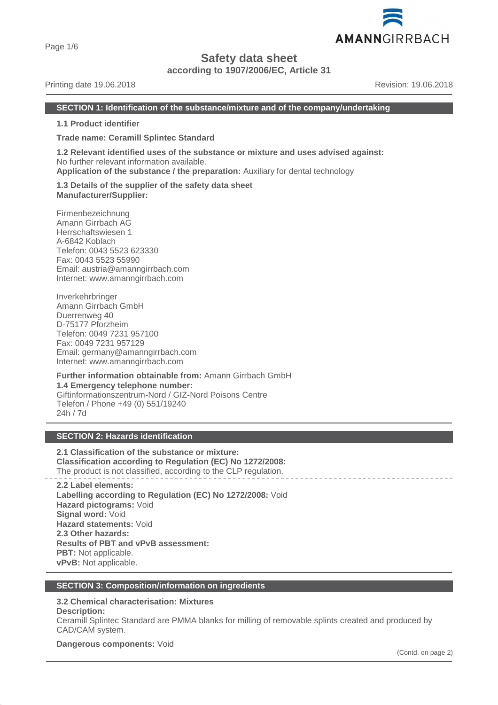Page 1/6

## **Safety data sheet**

**according to 1907/2006/EC, Article 31**

#### Printing date 19.06.2018 **Printing date 19.06.2018** Revision: 19.06.2018

AMANNGIRRBACH

#### **SECTION 1: Identification of the substance/mixture and of the company/undertaking**

**1.1 Product identifier**

**Trade name: Ceramill Splintec Standard**

**1.2 Relevant identified uses of the substance or mixture and uses advised against:** No further relevant information available. **Application of the substance / the preparation:** Auxiliary for dental technology

**1.3 Details of the supplier of the safety data sheet Manufacturer/Supplier:**

Firmenbezeichnung Amann Girrbach AG Herrschaftswiesen 1 A-6842 Koblach Telefon: 0043 5523 623330 Fax: 0043 5523 55990 Email: austria@amanngirrbach.com Internet: www.amanngirrbach.com

Inverkehrbringer Amann Girrbach GmbH Duerrenweg 40 D-75177 Pforzheim Telefon: 0049 7231 957100 Fax: 0049 7231 957129 Email: germany@amanngirrbach.com Internet: www.amanngirrbach.com

**Further information obtainable from:** Amann Girrbach GmbH **1.4 Emergency telephone number:** Giftinformationszentrum-Nord / GIZ-Nord Poisons Centre Telefon / Phone +49 (0) 551/19240 24h / 7d

## **SECTION 2: Hazards identification**

**2.1 Classification of the substance or mixture: Classification according to Regulation (EC) No 1272/2008:** The product is not classified, according to the CLP regulation.

**2.2 Label elements: Labelling according to Regulation (EC) No 1272/2008:** Void **Hazard pictograms:** Void **Signal word:** Void **Hazard statements:** Void **2.3 Other hazards: Results of PBT and vPvB assessment: PBT:** Not applicable. **vPvB:** Not applicable.

#### **SECTION 3: Composition/information on ingredients**

## **3.2 Chemical characterisation: Mixtures**

**Description:**

Ceramill Splintec Standard are PMMA blanks for milling of removable splints created and produced by CAD/CAM system.

**Dangerous components:** Void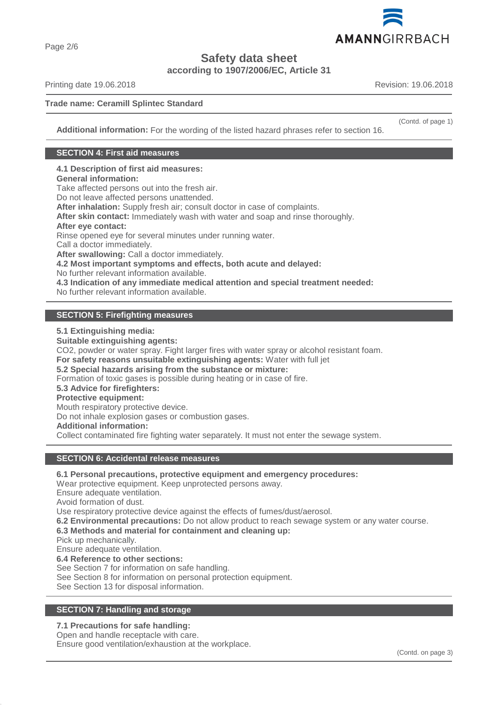

Page 2/6

# **Safety data sheet**

**according to 1907/2006/EC, Article 31**

Printing date 19.06.2018 **Revision: 19.06.2018** Revision: 19.06.2018

**Trade name: Ceramill Splintec Standard**

(Contd. of page 1)

**Additional information:** For the wording of the listed hazard phrases refer to section 16.

## **SECTION 4: First aid measures**

**4.1 Description of first aid measures:**

## **General information:**

Take affected persons out into the fresh air.

Do not leave affected persons unattended.

**After inhalation:** Supply fresh air; consult doctor in case of complaints.

**After skin contact:** Immediately wash with water and soap and rinse thoroughly.

#### **After eye contact:**

Rinse opened eye for several minutes under running water.

Call a doctor immediately.

**After swallowing:** Call a doctor immediately.

**4.2 Most important symptoms and effects, both acute and delayed:**

No further relevant information available.

**4.3 Indication of any immediate medical attention and special treatment needed:**

No further relevant information available.

## **SECTION 5: Firefighting measures**

**5.1 Extinguishing media:**

**Suitable extinguishing agents:**

CO2, powder or water spray. Fight larger fires with water spray or alcohol resistant foam.

**For safety reasons unsuitable extinguishing agents:** Water with full jet

**5.2 Special hazards arising from the substance or mixture:**

Formation of toxic gases is possible during heating or in case of fire.

**5.3 Advice for firefighters:**

## **Protective equipment:**

Mouth respiratory protective device.

Do not inhale explosion gases or combustion gases.

**Additional information:**

Collect contaminated fire fighting water separately. It must not enter the sewage system.

## **SECTION 6: Accidental release measures**

## **6.1 Personal precautions, protective equipment and emergency procedures:**

Wear protective equipment. Keep unprotected persons away.

Ensure adequate ventilation.

Avoid formation of dust.

Use respiratory protective device against the effects of fumes/dust/aerosol.

**6.2 Environmental precautions:** Do not allow product to reach sewage system or any water course.

**6.3 Methods and material for containment and cleaning up:**

Pick up mechanically.

Ensure adequate ventilation.

**6.4 Reference to other sections:**

See Section 7 for information on safe handling.

See Section 8 for information on personal protection equipment.

See Section 13 for disposal information.

## **SECTION 7: Handling and storage**

#### **7.1 Precautions for safe handling:**

Open and handle receptacle with care.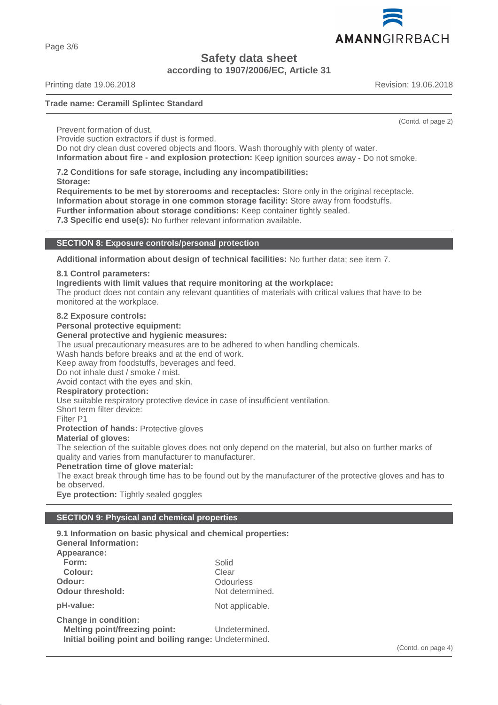AMANNGIRRBACH

**Safety data sheet**

**according to 1907/2006/EC, Article 31**

Printing date 19.06.2018 **Revision: 19.06.2018** Revision: 19.06.2018

Page 3/6

## **Trade name: Ceramill Splintec Standard**

(Contd. of page 2)

Prevent formation of dust.

Provide suction extractors if dust is formed.

Do not dry clean dust covered objects and floors. Wash thoroughly with plenty of water. **Information about fire - and explosion protection:** Keep ignition sources away - Do not smoke.

**7.2 Conditions for safe storage, including any incompatibilities:**

**Storage:**

**Requirements to be met by storerooms and receptacles:** Store only in the original receptacle. **Information about storage in one common storage facility:** Store away from foodstuffs.

**Further information about storage conditions:** Keep container tightly sealed.

**7.3 Specific end use(s):** No further relevant information available.

## **SECTION 8: Exposure controls/personal protection**

**Additional information about design of technical facilities:** No further data; see item 7.

### **8.1 Control parameters:**

**Ingredients with limit values that require monitoring at the workplace:**

The product does not contain any relevant quantities of materials with critical values that have to be monitored at the workplace.

#### **8.2 Exposure controls:**

**Personal protective equipment:**

#### **General protective and hygienic measures:**

The usual precautionary measures are to be adhered to when handling chemicals.

Wash hands before breaks and at the end of work.

Keep away from foodstuffs, beverages and feed.

Do not inhale dust / smoke / mist.

Avoid contact with the eyes and skin.

#### **Respiratory protection:**

Use suitable respiratory protective device in case of insufficient ventilation.

Short term filter device:

Filter P1

**Protection of hands:** Protective gloves

#### **Material of gloves:**

The selection of the suitable gloves does not only depend on the material, but also on further marks of quality and varies from manufacturer to manufacturer.

#### **Penetration time of glove material:**

The exact break through time has to be found out by the manufacturer of the protective gloves and has to be observed.

**Eye protection:** Tightly sealed goggles

## **SECTION 9: Physical and chemical properties**

| 9.1 Information on basic physical and chemical properties:<br><b>General Information:</b> |                 |
|-------------------------------------------------------------------------------------------|-----------------|
| Appearance:                                                                               |                 |
| Form:                                                                                     | Solid           |
| Colour:                                                                                   | Clear           |
| Odour:                                                                                    | Odourless       |
| <b>Odour threshold:</b>                                                                   | Not determined. |
| pH-value:                                                                                 | Not applicable. |
| <b>Change in condition:</b>                                                               |                 |
| <b>Melting point/freezing point:</b>                                                      | Undetermined.   |
| Initial boiling point and boiling range: Undetermined.                                    |                 |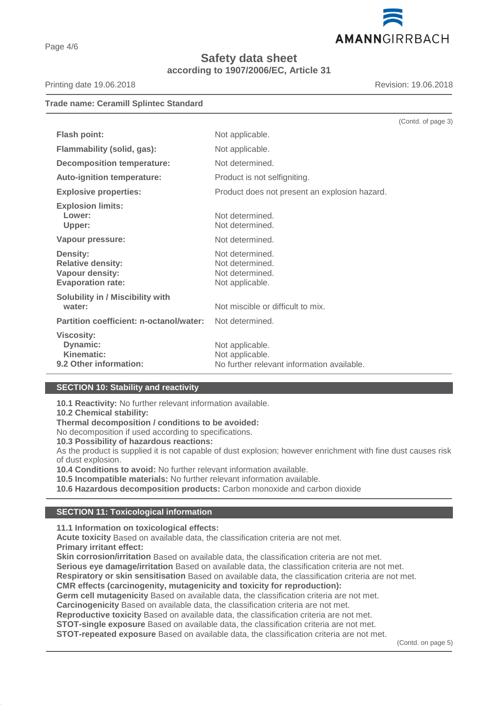

**Safety data sheet according to 1907/2006/EC, Article 31**

Printing date 19.06.2018 **Revision: 19.06.2018** Revision: 19.06.2018

**Trade name: Ceramill Splintec Standard**

|                                                                                            |                                                                                  | (Contd. of page 3) |
|--------------------------------------------------------------------------------------------|----------------------------------------------------------------------------------|--------------------|
| <b>Flash point:</b>                                                                        | Not applicable.                                                                  |                    |
| Flammability (solid, gas):                                                                 | Not applicable.                                                                  |                    |
| <b>Decomposition temperature:</b>                                                          | Not determined.                                                                  |                    |
| <b>Auto-ignition temperature:</b>                                                          | Product is not selfigniting.                                                     |                    |
| <b>Explosive properties:</b>                                                               | Product does not present an explosion hazard.                                    |                    |
| <b>Explosion limits:</b><br>Lower:<br>Upper:                                               | Not determined.<br>Not determined.                                               |                    |
| Vapour pressure:                                                                           | Not determined.                                                                  |                    |
| <b>Density:</b><br><b>Relative density:</b><br>Vapour density:<br><b>Evaporation rate:</b> | Not determined.<br>Not determined.<br>Not determined.<br>Not applicable.         |                    |
| <b>Solubility in / Miscibility with</b><br>water:                                          | Not miscible or difficult to mix.                                                |                    |
| Partition coefficient: n-octanol/water:                                                    | Not determined.                                                                  |                    |
| <b>Viscosity:</b><br>Dynamic:<br>Kinematic:<br>9.2 Other information:                      | Not applicable.<br>Not applicable.<br>No further relevant information available. |                    |

## **SECTION 10: Stability and reactivity**

**10.1 Reactivity:** No further relevant information available.

**10.2 Chemical stability:**

**Thermal decomposition / conditions to be avoided:**

No decomposition if used according to specifications.

**10.3 Possibility of hazardous reactions:**

As the product is supplied it is not capable of dust explosion; however enrichment with fine dust causes risk of dust explosion.

**10.4 Conditions to avoid:** No further relevant information available.

**10.5 Incompatible materials:** No further relevant information available.

**10.6 Hazardous decomposition products:** Carbon monoxide and carbon dioxide

#### **SECTION 11: Toxicological information**

**11.1 Information on toxicological effects:**

**Acute toxicity** Based on available data, the classification criteria are not met. **Primary irritant effect:**

**Skin corrosion/irritation** Based on available data, the classification criteria are not met.

**Serious eye damage/irritation** Based on available data, the classification criteria are not met.

**Respiratory or skin sensitisation** Based on available data, the classification criteria are not met.

**CMR effects (carcinogenity, mutagenicity and toxicity for reproduction):**

**Germ cell mutagenicity** Based on available data, the classification criteria are not met.

**Carcinogenicity** Based on available data, the classification criteria are not met.

**Reproductive toxicity** Based on available data, the classification criteria are not met.

**STOT-single exposure** Based on available data, the classification criteria are not met.

**STOT-repeated exposure** Based on available data, the classification criteria are not met.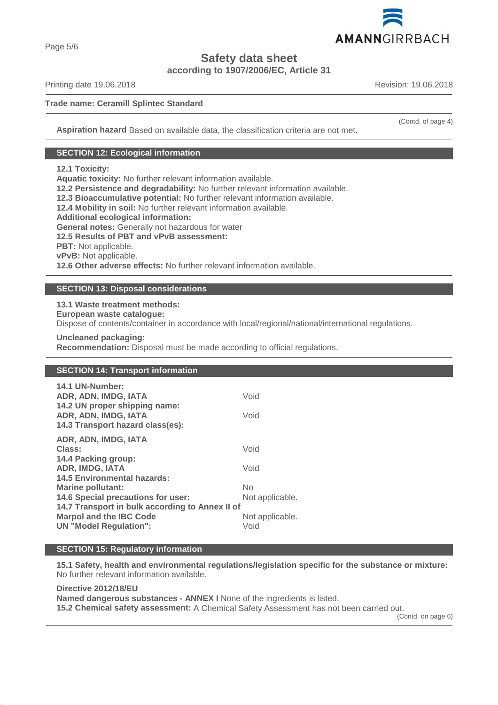

**Safety data sheet**

**according to 1907/2006/EC, Article 31**

Printing date 19.06.2018 **Revision: 19.06.2018** Revision: 19.06.2018

## **Trade name: Ceramill Splintec Standard**

**Aspiration hazard** Based on available data, the classification criteria are not met.

## **SECTION 12: Ecological information**

## **12.1 Toxicity:**

**Aquatic toxicity:** No further relevant information available.

**12.2 Persistence and degradability:** No further relevant information available.

**12.3 Bioaccumulative potential:** No further relevant information available.

**12.4 Mobility in soil:** No further relevant information available.

**Additional ecological information:**

**General notes:** Generally not hazardous for water

**12.5 Results of PBT and vPvB assessment:**

**PBT:** Not applicable.

**vPvB:** Not applicable.

**12.6 Other adverse effects:** No further relevant information available.

## **SECTION 13: Disposal considerations**

**13.1 Waste treatment methods:**

**European waste catalogue:**

Dispose of contents/container in accordance with local/regional/national/international regulations.

**Uncleaned packaging:**

**Recommendation:** Disposal must be made according to official regulations.

## **SECTION 14: Transport information**

| 14.1 UN-Number:<br>ADR, ADN, IMDG, IATA<br>14.2 UN proper shipping name:          | Void                  |
|-----------------------------------------------------------------------------------|-----------------------|
| ADR, ADN, IMDG, IATA<br>14.3 Transport hazard class(es):                          | Void                  |
| ADR, ADN, IMDG, IATA<br>Class:                                                    | Void                  |
| 14.4 Packing group:<br>ADR, IMDG, IATA<br><b>14.5 Environmental hazards:</b>      | Void                  |
| <b>Marine pollutant:</b><br>14.6 Special precautions for user:                    | No<br>Not applicable. |
| 14.7 Transport in bulk according to Annex II of<br><b>Marpol and the IBC Code</b> | Not applicable.       |
| <b>UN</b> "Model Regulation":                                                     | Void                  |

## **SECTION 15: Regulatory information**

**15.1 Safety, health and environmental regulations/legislation specific for the substance or mixture:** No further relevant information available.

**Directive 2012/18/EU Named dangerous substances - ANNEX I** None of the ingredients is listed. **15.2 Chemical safety assessment:** A Chemical Safety Assessment has not been carried out.

(Contd. on page 6)

(Contd. of page 4)

Page 5/6